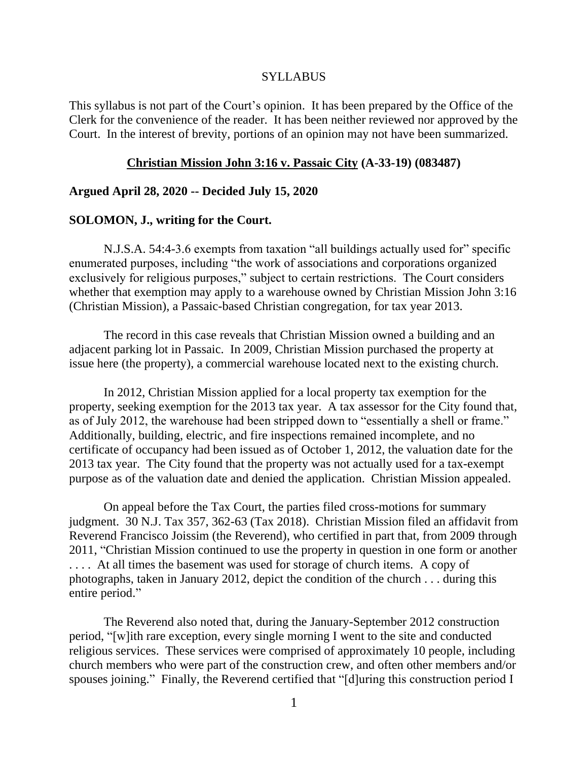#### SYLLABUS

This syllabus is not part of the Court's opinion. It has been prepared by the Office of the Clerk for the convenience of the reader. It has been neither reviewed nor approved by the Court. In the interest of brevity, portions of an opinion may not have been summarized.

#### **Christian Mission John 3:16 v. Passaic City (A-33-19) (083487)**

## **Argued April 28, 2020 -- Decided July 15, 2020**

#### **SOLOMON, J., writing for the Court.**

N.J.S.A. 54:4-3.6 exempts from taxation "all buildings actually used for" specific enumerated purposes, including "the work of associations and corporations organized exclusively for religious purposes," subject to certain restrictions. The Court considers whether that exemption may apply to a warehouse owned by Christian Mission John 3:16 (Christian Mission), a Passaic-based Christian congregation, for tax year 2013.

The record in this case reveals that Christian Mission owned a building and an adjacent parking lot in Passaic. In 2009, Christian Mission purchased the property at issue here (the property), a commercial warehouse located next to the existing church.

In 2012, Christian Mission applied for a local property tax exemption for the property, seeking exemption for the 2013 tax year. A tax assessor for the City found that, as of July 2012, the warehouse had been stripped down to "essentially a shell or frame." Additionally, building, electric, and fire inspections remained incomplete, and no certificate of occupancy had been issued as of October 1, 2012, the valuation date for the 2013 tax year. The City found that the property was not actually used for a tax-exempt purpose as of the valuation date and denied the application. Christian Mission appealed.

On appeal before the Tax Court, the parties filed cross-motions for summary judgment. 30 N.J. Tax 357, 362-63 (Tax 2018). Christian Mission filed an affidavit from Reverend Francisco Joissim (the Reverend), who certified in part that, from 2009 through 2011, "Christian Mission continued to use the property in question in one form or another .... At all times the basement was used for storage of church items. A copy of photographs, taken in January 2012, depict the condition of the church . . . during this entire period."

The Reverend also noted that, during the January-September 2012 construction period, "[w]ith rare exception, every single morning I went to the site and conducted religious services. These services were comprised of approximately 10 people, including church members who were part of the construction crew, and often other members and/or spouses joining." Finally, the Reverend certified that "[d]uring this construction period I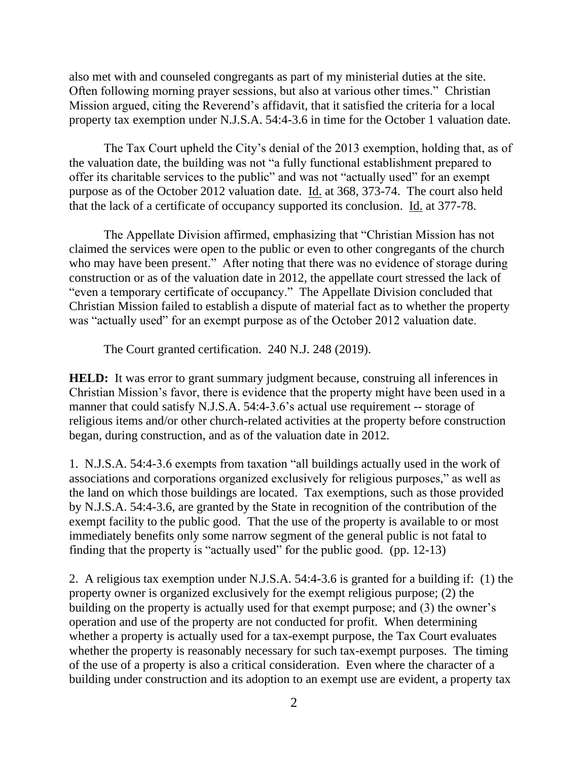also met with and counseled congregants as part of my ministerial duties at the site. Often following morning prayer sessions, but also at various other times." Christian Mission argued, citing the Reverend's affidavit, that it satisfied the criteria for a local property tax exemption under N.J.S.A. 54:4-3.6 in time for the October 1 valuation date.

The Tax Court upheld the City's denial of the 2013 exemption, holding that, as of the valuation date, the building was not "a fully functional establishment prepared to offer its charitable services to the public" and was not "actually used" for an exempt purpose as of the October 2012 valuation date. Id. at 368, 373-74. The court also held that the lack of a certificate of occupancy supported its conclusion. Id. at 377-78.

The Appellate Division affirmed, emphasizing that "Christian Mission has not claimed the services were open to the public or even to other congregants of the church who may have been present." After noting that there was no evidence of storage during construction or as of the valuation date in 2012, the appellate court stressed the lack of "even a temporary certificate of occupancy." The Appellate Division concluded that Christian Mission failed to establish a dispute of material fact as to whether the property was "actually used" for an exempt purpose as of the October 2012 valuation date.

The Court granted certification. 240 N.J. 248 (2019).

**HELD:** It was error to grant summary judgment because, construing all inferences in Christian Mission's favor, there is evidence that the property might have been used in a manner that could satisfy N.J.S.A. 54:4-3.6's actual use requirement -- storage of religious items and/or other church-related activities at the property before construction began, during construction, and as of the valuation date in 2012.

1. N.J.S.A. 54:4-3.6 exempts from taxation "all buildings actually used in the work of associations and corporations organized exclusively for religious purposes," as well as the land on which those buildings are located. Tax exemptions, such as those provided by N.J.S.A. 54:4-3.6, are granted by the State in recognition of the contribution of the exempt facility to the public good. That the use of the property is available to or most immediately benefits only some narrow segment of the general public is not fatal to finding that the property is "actually used" for the public good. (pp. 12-13)

2. A religious tax exemption under N.J.S.A. 54:4-3.6 is granted for a building if: (1) the property owner is organized exclusively for the exempt religious purpose; (2) the building on the property is actually used for that exempt purpose; and (3) the owner's operation and use of the property are not conducted for profit. When determining whether a property is actually used for a tax-exempt purpose, the Tax Court evaluates whether the property is reasonably necessary for such tax-exempt purposes. The timing of the use of a property is also a critical consideration. Even where the character of a building under construction and its adoption to an exempt use are evident, a property tax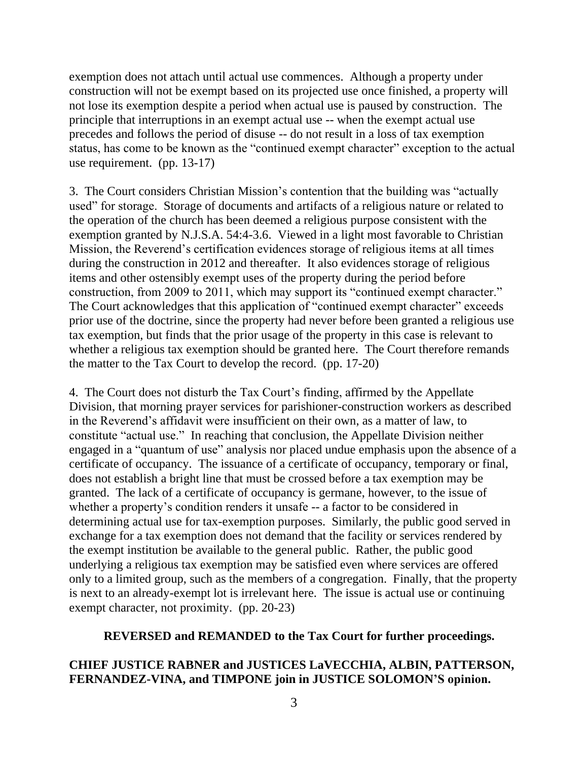exemption does not attach until actual use commences. Although a property under construction will not be exempt based on its projected use once finished, a property will not lose its exemption despite a period when actual use is paused by construction. The principle that interruptions in an exempt actual use -- when the exempt actual use precedes and follows the period of disuse -- do not result in a loss of tax exemption status, has come to be known as the "continued exempt character" exception to the actual use requirement. (pp. 13-17)

3. The Court considers Christian Mission's contention that the building was "actually used" for storage. Storage of documents and artifacts of a religious nature or related to the operation of the church has been deemed a religious purpose consistent with the exemption granted by N.J.S.A. 54:4-3.6. Viewed in a light most favorable to Christian Mission, the Reverend's certification evidences storage of religious items at all times during the construction in 2012 and thereafter. It also evidences storage of religious items and other ostensibly exempt uses of the property during the period before construction, from 2009 to 2011, which may support its "continued exempt character." The Court acknowledges that this application of "continued exempt character" exceeds prior use of the doctrine, since the property had never before been granted a religious use tax exemption, but finds that the prior usage of the property in this case is relevant to whether a religious tax exemption should be granted here. The Court therefore remands the matter to the Tax Court to develop the record. (pp. 17-20)

4. The Court does not disturb the Tax Court's finding, affirmed by the Appellate Division, that morning prayer services for parishioner-construction workers as described in the Reverend's affidavit were insufficient on their own, as a matter of law, to constitute "actual use." In reaching that conclusion, the Appellate Division neither engaged in a "quantum of use" analysis nor placed undue emphasis upon the absence of a certificate of occupancy. The issuance of a certificate of occupancy, temporary or final, does not establish a bright line that must be crossed before a tax exemption may be granted. The lack of a certificate of occupancy is germane, however, to the issue of whether a property's condition renders it unsafe -- a factor to be considered in determining actual use for tax-exemption purposes. Similarly, the public good served in exchange for a tax exemption does not demand that the facility or services rendered by the exempt institution be available to the general public. Rather, the public good underlying a religious tax exemption may be satisfied even where services are offered only to a limited group, such as the members of a congregation. Finally, that the property is next to an already-exempt lot is irrelevant here. The issue is actual use or continuing exempt character, not proximity. (pp. 20-23)

### **REVERSED and REMANDED to the Tax Court for further proceedings.**

## **CHIEF JUSTICE RABNER and JUSTICES LaVECCHIA, ALBIN, PATTERSON, FERNANDEZ-VINA, and TIMPONE join in JUSTICE SOLOMON'S opinion.**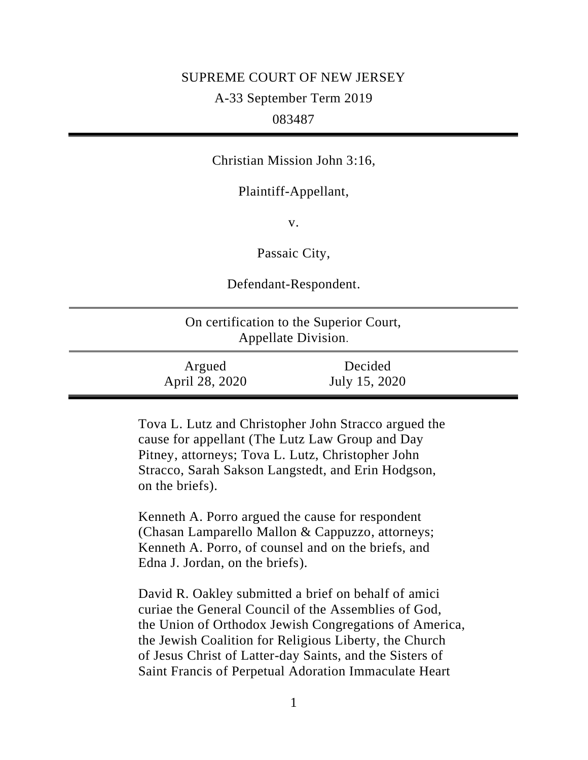# SUPREME COURT OF NEW JERSEY

# A-33 September Term 2019

# 083487

## Christian Mission John 3:16,

## Plaintiff-Appellant,

v.

Passaic City,

Defendant-Respondent.

| On certification to the Superior Court,<br>Appellate Division. |                          |  |
|----------------------------------------------------------------|--------------------------|--|
| Argued<br>April 28, 2020                                       | Decided<br>July 15, 2020 |  |

Tova L. Lutz and Christopher John Stracco argued the cause for appellant (The Lutz Law Group and Day Pitney, attorneys; Tova L. Lutz, Christopher John Stracco, Sarah Sakson Langstedt, and Erin Hodgson, on the briefs).

Kenneth A. Porro argued the cause for respondent (Chasan Lamparello Mallon & Cappuzzo, attorneys; Kenneth A. Porro, of counsel and on the briefs, and Edna J. Jordan, on the briefs).

David R. Oakley submitted a brief on behalf of amici curiae the General Council of the Assemblies of God, the Union of Orthodox Jewish Congregations of America, the Jewish Coalition for Religious Liberty, the Church of Jesus Christ of Latter-day Saints, and the Sisters of Saint Francis of Perpetual Adoration Immaculate Heart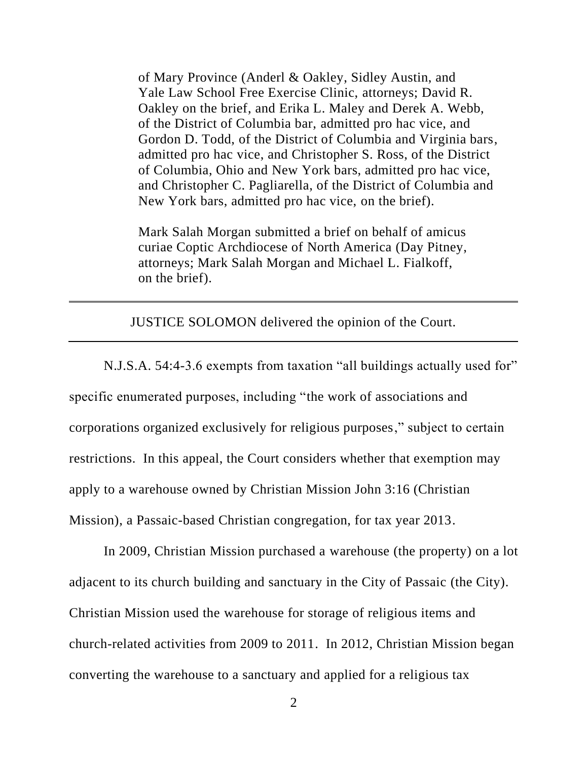of Mary Province (Anderl & Oakley, Sidley Austin, and Yale Law School Free Exercise Clinic, attorneys; David R. Oakley on the brief, and Erika L. Maley and Derek A. Webb, of the District of Columbia bar, admitted pro hac vice, and Gordon D. Todd, of the District of Columbia and Virginia bars, admitted pro hac vice, and Christopher S. Ross, of the District of Columbia, Ohio and New York bars, admitted pro hac vice, and Christopher C. Pagliarella, of the District of Columbia and New York bars, admitted pro hac vice, on the brief).

Mark Salah Morgan submitted a brief on behalf of amicus curiae Coptic Archdiocese of North America (Day Pitney, attorneys; Mark Salah Morgan and Michael L. Fialkoff, on the brief).

JUSTICE SOLOMON delivered the opinion of the Court.

N.J.S.A. 54:4-3.6 exempts from taxation "all buildings actually used for" specific enumerated purposes, including "the work of associations and corporations organized exclusively for religious purposes," subject to certain restrictions. In this appeal, the Court considers whether that exemption may apply to a warehouse owned by Christian Mission John 3:16 (Christian Mission), a Passaic-based Christian congregation, for tax year 2013.

In 2009, Christian Mission purchased a warehouse (the property) on a lot adjacent to its church building and sanctuary in the City of Passaic (the City). Christian Mission used the warehouse for storage of religious items and church-related activities from 2009 to 2011. In 2012, Christian Mission began converting the warehouse to a sanctuary and applied for a religious tax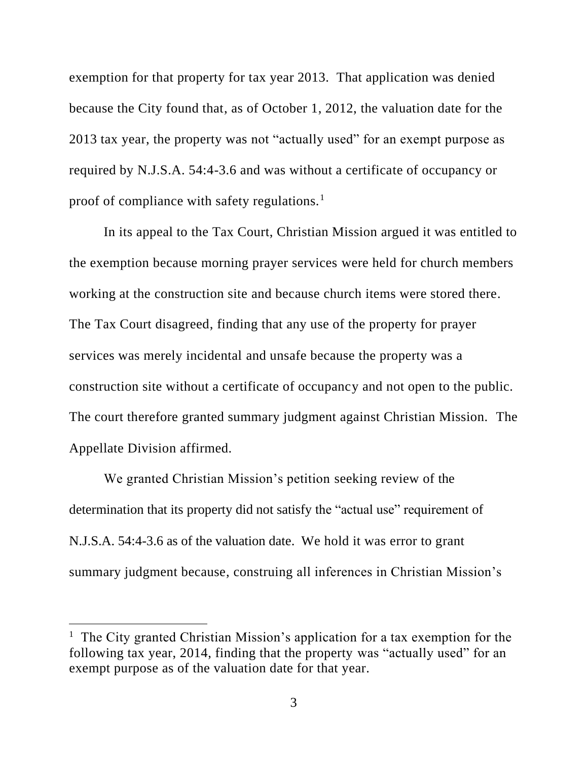exemption for that property for tax year 2013. That application was denied because the City found that, as of October 1, 2012, the valuation date for the 2013 tax year, the property was not "actually used" for an exempt purpose as required by N.J.S.A. 54:4-3.6 and was without a certificate of occupancy or proof of compliance with safety regulations.<sup>1</sup>

In its appeal to the Tax Court, Christian Mission argued it was entitled to the exemption because morning prayer services were held for church members working at the construction site and because church items were stored there. The Tax Court disagreed, finding that any use of the property for prayer services was merely incidental and unsafe because the property was a construction site without a certificate of occupancy and not open to the public. The court therefore granted summary judgment against Christian Mission. The Appellate Division affirmed.

We granted Christian Mission's petition seeking review of the determination that its property did not satisfy the "actual use" requirement of N.J.S.A. 54:4-3.6 as of the valuation date. We hold it was error to grant summary judgment because, construing all inferences in Christian Mission's

<sup>&</sup>lt;sup>1</sup> The City granted Christian Mission's application for a tax exemption for the following tax year, 2014, finding that the property was "actually used" for an exempt purpose as of the valuation date for that year.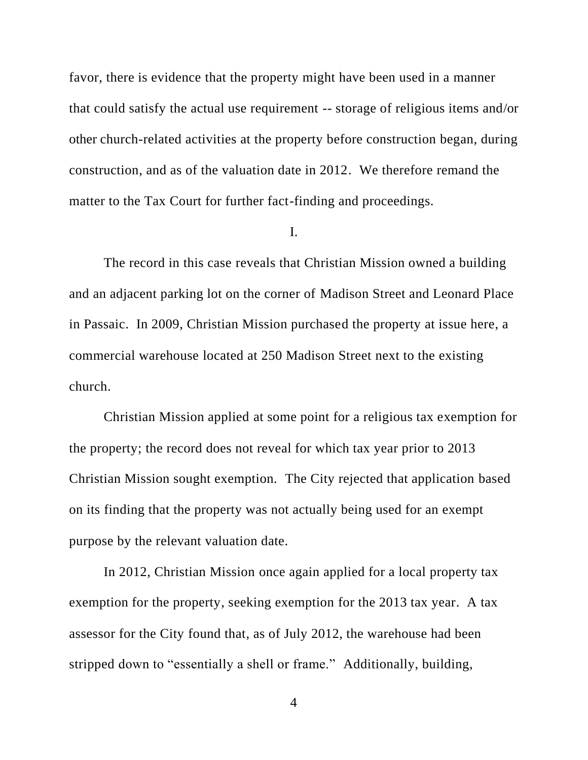favor, there is evidence that the property might have been used in a manner that could satisfy the actual use requirement -- storage of religious items and/or other church-related activities at the property before construction began, during construction, and as of the valuation date in 2012. We therefore remand the matter to the Tax Court for further fact-finding and proceedings.

#### I.

The record in this case reveals that Christian Mission owned a building and an adjacent parking lot on the corner of Madison Street and Leonard Place in Passaic. In 2009, Christian Mission purchased the property at issue here, a commercial warehouse located at 250 Madison Street next to the existing church.

Christian Mission applied at some point for a religious tax exemption for the property; the record does not reveal for which tax year prior to 2013 Christian Mission sought exemption. The City rejected that application based on its finding that the property was not actually being used for an exempt purpose by the relevant valuation date.

In 2012, Christian Mission once again applied for a local property tax exemption for the property, seeking exemption for the 2013 tax year. A tax assessor for the City found that, as of July 2012, the warehouse had been stripped down to "essentially a shell or frame." Additionally, building,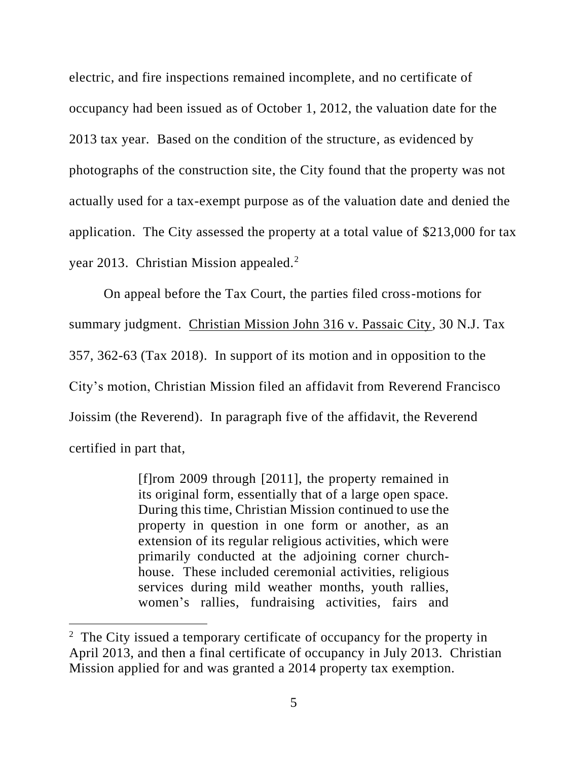electric, and fire inspections remained incomplete, and no certificate of occupancy had been issued as of October 1, 2012, the valuation date for the 2013 tax year. Based on the condition of the structure, as evidenced by photographs of the construction site, the City found that the property was not actually used for a tax-exempt purpose as of the valuation date and denied the application. The City assessed the property at a total value of \$213,000 for tax year 2013. Christian Mission appealed.<sup>2</sup>

On appeal before the Tax Court, the parties filed cross-motions for summary judgment. Christian Mission John 316 v. Passaic City, 30 N.J. Tax 357, 362-63 (Tax 2018). In support of its motion and in opposition to the City's motion, Christian Mission filed an affidavit from Reverend Francisco Joissim (the Reverend). In paragraph five of the affidavit, the Reverend certified in part that,

> [f]rom 2009 through [2011], the property remained in its original form, essentially that of a large open space. During this time, Christian Mission continued to use the property in question in one form or another, as an extension of its regular religious activities, which were primarily conducted at the adjoining corner churchhouse. These included ceremonial activities, religious services during mild weather months, youth rallies, women's rallies, fundraising activities, fairs and

<sup>&</sup>lt;sup>2</sup> The City issued a temporary certificate of occupancy for the property in April 2013, and then a final certificate of occupancy in July 2013. Christian Mission applied for and was granted a 2014 property tax exemption.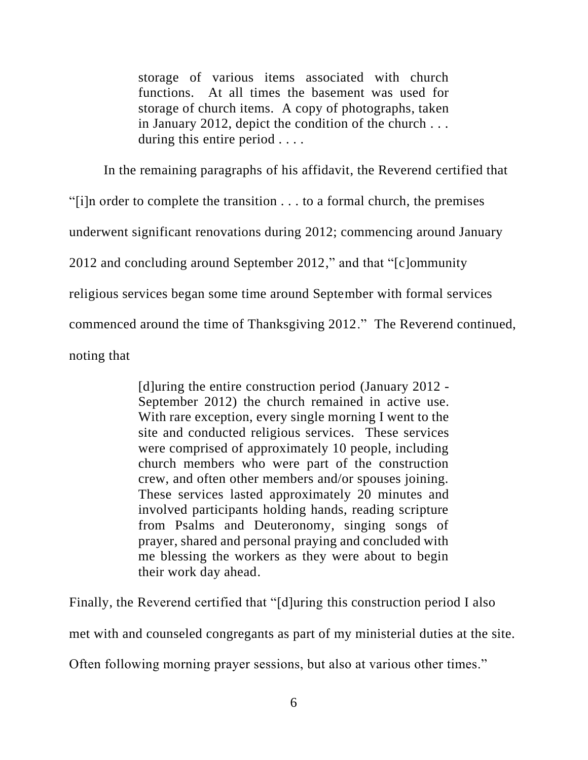storage of various items associated with church functions. At all times the basement was used for storage of church items. A copy of photographs, taken in January 2012, depict the condition of the church . . . during this entire period . . . .

In the remaining paragraphs of his affidavit, the Reverend certified that "[i]n order to complete the transition . . . to a formal church, the premises underwent significant renovations during 2012; commencing around January 2012 and concluding around September 2012," and that "[c]ommunity religious services began some time around September with formal services commenced around the time of Thanksgiving 2012." The Reverend continued, noting that

> [d]uring the entire construction period (January 2012 - September 2012) the church remained in active use. With rare exception, every single morning I went to the site and conducted religious services. These services were comprised of approximately 10 people, including church members who were part of the construction crew, and often other members and/or spouses joining. These services lasted approximately 20 minutes and involved participants holding hands, reading scripture from Psalms and Deuteronomy, singing songs of prayer, shared and personal praying and concluded with me blessing the workers as they were about to begin their work day ahead.

Finally, the Reverend certified that "[d]uring this construction period I also

met with and counseled congregants as part of my ministerial duties at the site.

Often following morning prayer sessions, but also at various other times."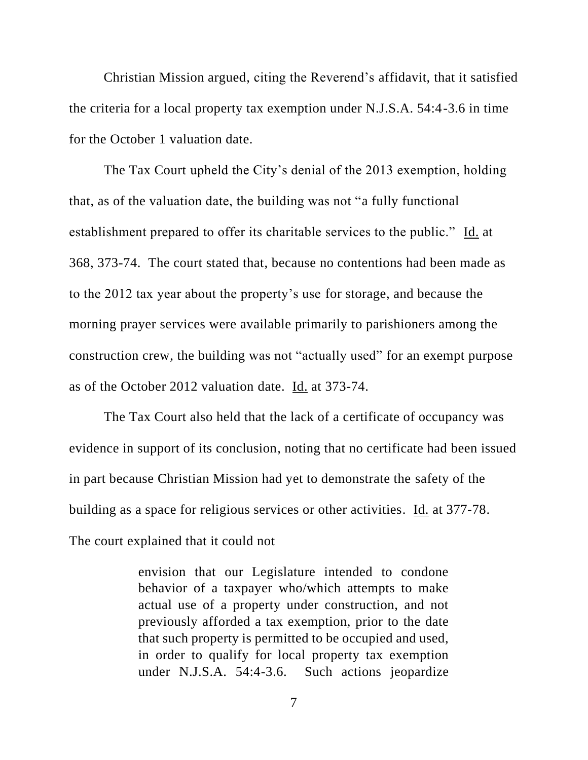Christian Mission argued, citing the Reverend's affidavit, that it satisfied the criteria for a local property tax exemption under N.J.S.A. 54:4-3.6 in time for the October 1 valuation date.

The Tax Court upheld the City's denial of the 2013 exemption, holding that, as of the valuation date, the building was not "a fully functional establishment prepared to offer its charitable services to the public." Id. at 368, 373-74. The court stated that, because no contentions had been made as to the 2012 tax year about the property's use for storage, and because the morning prayer services were available primarily to parishioners among the construction crew, the building was not "actually used" for an exempt purpose as of the October 2012 valuation date. Id. at 373-74.

The Tax Court also held that the lack of a certificate of occupancy was evidence in support of its conclusion, noting that no certificate had been issued in part because Christian Mission had yet to demonstrate the safety of the building as a space for religious services or other activities. Id. at 377-78. The court explained that it could not

> envision that our Legislature intended to condone behavior of a taxpayer who/which attempts to make actual use of a property under construction, and not previously afforded a tax exemption, prior to the date that such property is permitted to be occupied and used, in order to qualify for local property tax exemption under N.J.S.A. 54:4-3.6. Such actions jeopardize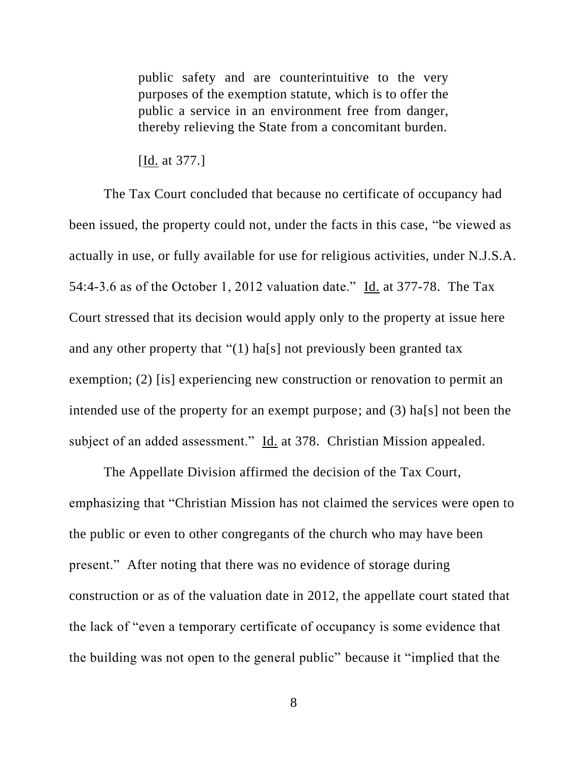public safety and are counterintuitive to the very purposes of the exemption statute, which is to offer the public a service in an environment free from danger, thereby relieving the State from a concomitant burden.

## [Id. at 377.]

The Tax Court concluded that because no certificate of occupancy had been issued, the property could not, under the facts in this case, "be viewed as actually in use, or fully available for use for religious activities, under N.J.S.A. 54:4-3.6 as of the October 1, 2012 valuation date." Id. at 377-78. The Tax Court stressed that its decision would apply only to the property at issue here and any other property that "(1) ha[s] not previously been granted tax exemption; (2) [is] experiencing new construction or renovation to permit an intended use of the property for an exempt purpose; and (3) ha[s] not been the subject of an added assessment." Id. at 378. Christian Mission appealed.

The Appellate Division affirmed the decision of the Tax Court, emphasizing that "Christian Mission has not claimed the services were open to the public or even to other congregants of the church who may have been present." After noting that there was no evidence of storage during construction or as of the valuation date in 2012, the appellate court stated that the lack of "even a temporary certificate of occupancy is some evidence that the building was not open to the general public" because it "implied that the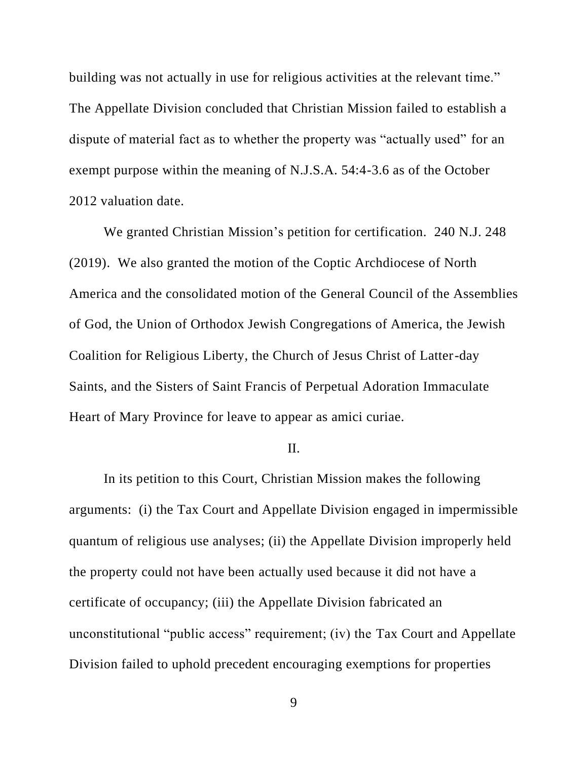building was not actually in use for religious activities at the relevant time." The Appellate Division concluded that Christian Mission failed to establish a dispute of material fact as to whether the property was "actually used" for an exempt purpose within the meaning of N.J.S.A. 54:4-3.6 as of the October 2012 valuation date.

We granted Christian Mission's petition for certification. 240 N.J. 248 (2019). We also granted the motion of the Coptic Archdiocese of North America and the consolidated motion of the General Council of the Assemblies of God, the Union of Orthodox Jewish Congregations of America, the Jewish Coalition for Religious Liberty, the Church of Jesus Christ of Latter-day Saints, and the Sisters of Saint Francis of Perpetual Adoration Immaculate Heart of Mary Province for leave to appear as amici curiae.

#### II.

In its petition to this Court, Christian Mission makes the following arguments: (i) the Tax Court and Appellate Division engaged in impermissible quantum of religious use analyses; (ii) the Appellate Division improperly held the property could not have been actually used because it did not have a certificate of occupancy; (iii) the Appellate Division fabricated an unconstitutional "public access" requirement; (iv) the Tax Court and Appellate Division failed to uphold precedent encouraging exemptions for properties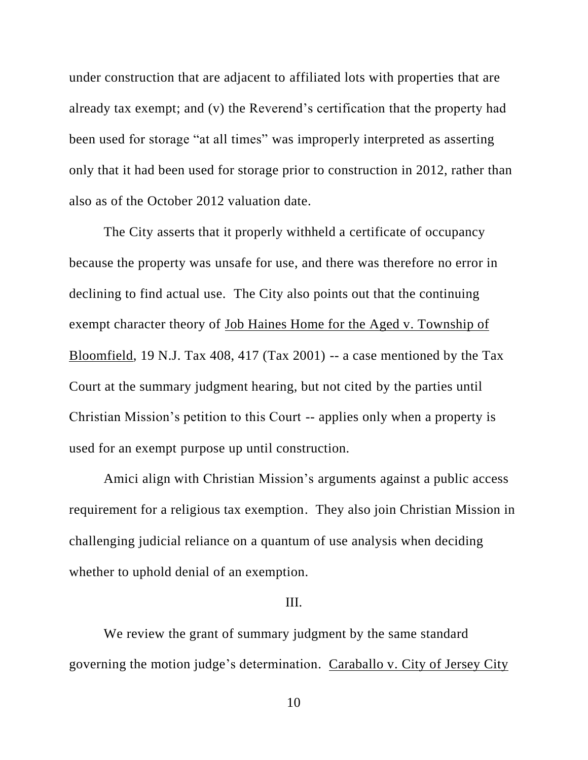under construction that are adjacent to affiliated lots with properties that are already tax exempt; and (v) the Reverend's certification that the property had been used for storage "at all times" was improperly interpreted as asserting only that it had been used for storage prior to construction in 2012, rather than also as of the October 2012 valuation date.

The City asserts that it properly withheld a certificate of occupancy because the property was unsafe for use, and there was therefore no error in declining to find actual use. The City also points out that the continuing exempt character theory of Job Haines Home for the Aged v. Township of Bloomfield, 19 N.J. Tax 408, 417 (Tax 2001) -- a case mentioned by the Tax Court at the summary judgment hearing, but not cited by the parties until Christian Mission's petition to this Court -- applies only when a property is used for an exempt purpose up until construction.

Amici align with Christian Mission's arguments against a public access requirement for a religious tax exemption. They also join Christian Mission in challenging judicial reliance on a quantum of use analysis when deciding whether to uphold denial of an exemption.

### III.

We review the grant of summary judgment by the same standard governing the motion judge's determination. Caraballo v. City of Jersey City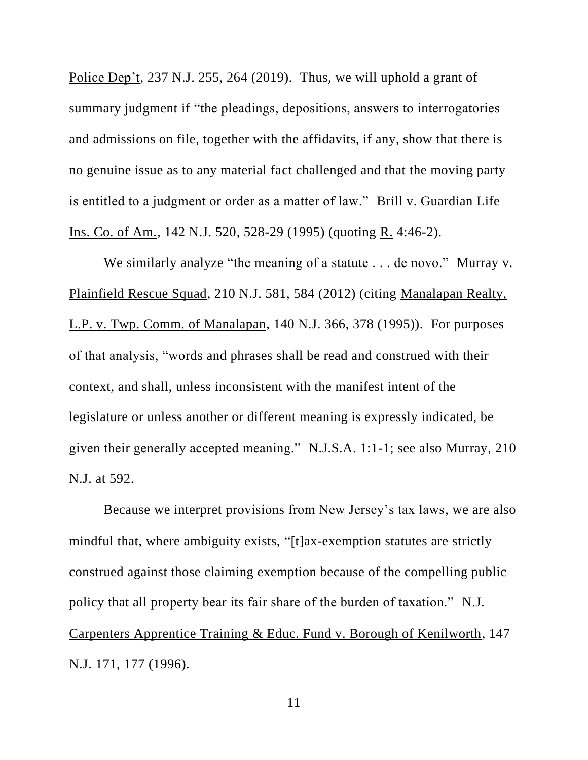Police Dep't, 237 N.J. 255, 264 (2019). Thus, we will uphold a grant of summary judgment if "the pleadings, depositions, answers to interrogatories and admissions on file, together with the affidavits, if any, show that there is no genuine issue as to any material fact challenged and that the moving party is entitled to a judgment or order as a matter of law." Brill v. Guardian Life Ins. Co. of Am., 142 N.J. 520, 528-29 (1995) (quoting R. 4:46-2).

We similarly analyze "the meaning of a statute . . . de novo." Murray v. Plainfield Rescue Squad, 210 N.J. 581, 584 (2012) (citing Manalapan Realty, L.P. v. Twp. Comm. of Manalapan, 140 N.J. 366, 378 (1995)). For purposes of that analysis, "words and phrases shall be read and construed with their context, and shall, unless inconsistent with the manifest intent of the legislature or unless another or different meaning is expressly indicated, be given their generally accepted meaning." N.J.S.A. 1:1-1; see also Murray, 210 N.J. at 592.

Because we interpret provisions from New Jersey's tax laws, we are also mindful that, where ambiguity exists, "[t]ax-exemption statutes are strictly construed against those claiming exemption because of the compelling public policy that all property bear its fair share of the burden of taxation." N.J. Carpenters Apprentice Training & Educ. Fund v. Borough of Kenilworth, 147 N.J. 171, 177 (1996).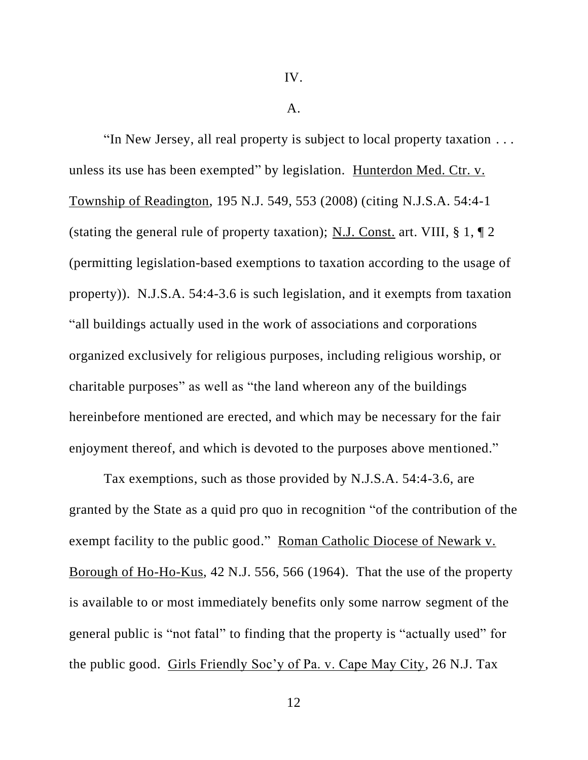A.

"In New Jersey, all real property is subject to local property taxation . . . unless its use has been exempted" by legislation. Hunterdon Med. Ctr. v. Township of Readington, 195 N.J. 549, 553 (2008) (citing N.J.S.A. 54:4-1 (stating the general rule of property taxation); N.J. Const. art. VIII, § 1, ¶ 2 (permitting legislation-based exemptions to taxation according to the usage of property)). N.J.S.A. 54:4-3.6 is such legislation, and it exempts from taxation "all buildings actually used in the work of associations and corporations organized exclusively for religious purposes, including religious worship, or charitable purposes" as well as "the land whereon any of the buildings hereinbefore mentioned are erected, and which may be necessary for the fair enjoyment thereof, and which is devoted to the purposes above mentioned."

Tax exemptions, such as those provided by N.J.S.A. 54:4-3.6, are granted by the State as a quid pro quo in recognition "of the contribution of the exempt facility to the public good." Roman Catholic Diocese of Newark v. Borough of Ho-Ho-Kus, 42 N.J. 556, 566 (1964). That the use of the property is available to or most immediately benefits only some narrow segment of the general public is "not fatal" to finding that the property is "actually used" for the public good. Girls Friendly Soc'y of Pa. v. Cape May City, 26 N.J. Tax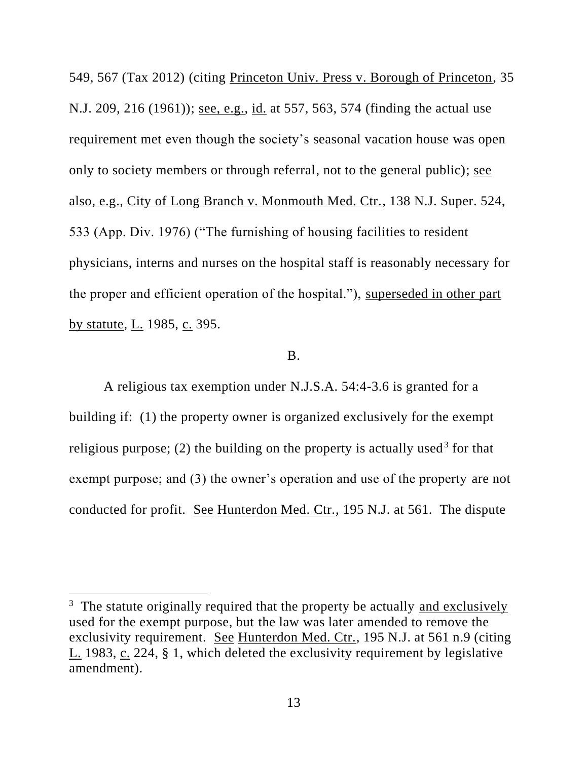549, 567 (Tax 2012) (citing Princeton Univ. Press v. Borough of Princeton, 35 N.J. 209, 216 (1961)); see, e.g., id. at 557, 563, 574 (finding the actual use requirement met even though the society's seasonal vacation house was open only to society members or through referral, not to the general public); see also, e.g., City of Long Branch v. Monmouth Med. Ctr., 138 N.J. Super. 524, 533 (App. Div. 1976) ("The furnishing of housing facilities to resident physicians, interns and nurses on the hospital staff is reasonably necessary for the proper and efficient operation of the hospital."), superseded in other part by statute, L. 1985, c. 395.

## B.

A religious tax exemption under N.J.S.A. 54:4-3.6 is granted for a building if: (1) the property owner is organized exclusively for the exempt religious purpose; (2) the building on the property is actually used<sup>3</sup> for that exempt purpose; and (3) the owner's operation and use of the property are not conducted for profit. See Hunterdon Med. Ctr., 195 N.J. at 561. The dispute

<sup>&</sup>lt;sup>3</sup> The statute originally required that the property be actually and exclusively used for the exempt purpose, but the law was later amended to remove the exclusivity requirement. See Hunterdon Med. Ctr., 195 N.J. at 561 n.9 (citing L. 1983, c. 224, § 1, which deleted the exclusivity requirement by legislative amendment).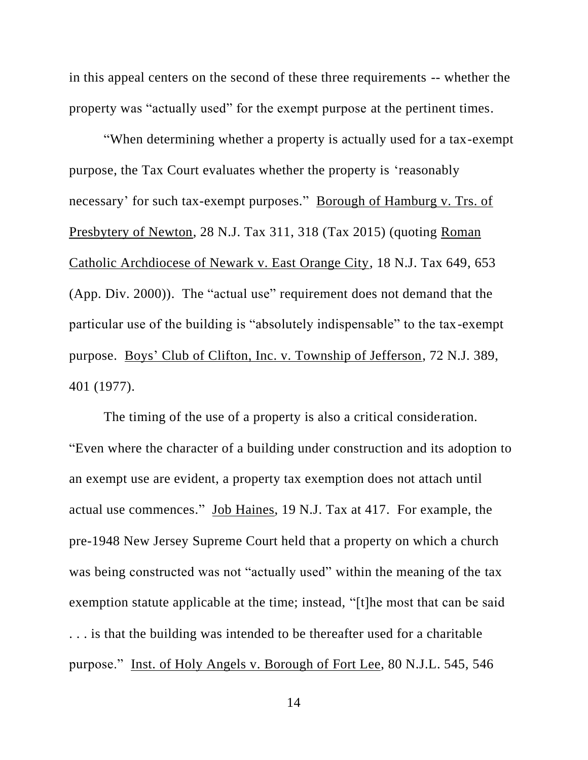in this appeal centers on the second of these three requirements -- whether the property was "actually used" for the exempt purpose at the pertinent times.

"When determining whether a property is actually used for a tax-exempt purpose, the Tax Court evaluates whether the property is 'reasonably necessary' for such tax-exempt purposes." Borough of Hamburg v. Trs. of Presbytery of Newton, 28 N.J. Tax 311, 318 (Tax 2015) (quoting Roman Catholic Archdiocese of Newark v. East Orange City, 18 N.J. Tax 649, 653 (App. Div. 2000)). The "actual use" requirement does not demand that the particular use of the building is "absolutely indispensable" to the tax-exempt purpose. Boys' Club of Clifton, Inc. v. Township of Jefferson, 72 N.J. 389, 401 (1977).

The timing of the use of a property is also a critical consideration. "Even where the character of a building under construction and its adoption to an exempt use are evident, a property tax exemption does not attach until actual use commences." Job Haines, 19 N.J. Tax at 417. For example, the pre-1948 New Jersey Supreme Court held that a property on which a church was being constructed was not "actually used" within the meaning of the tax exemption statute applicable at the time; instead, "[t]he most that can be said . . . is that the building was intended to be thereafter used for a charitable purpose." Inst. of Holy Angels v. Borough of Fort Lee, 80 N.J.L. 545, 546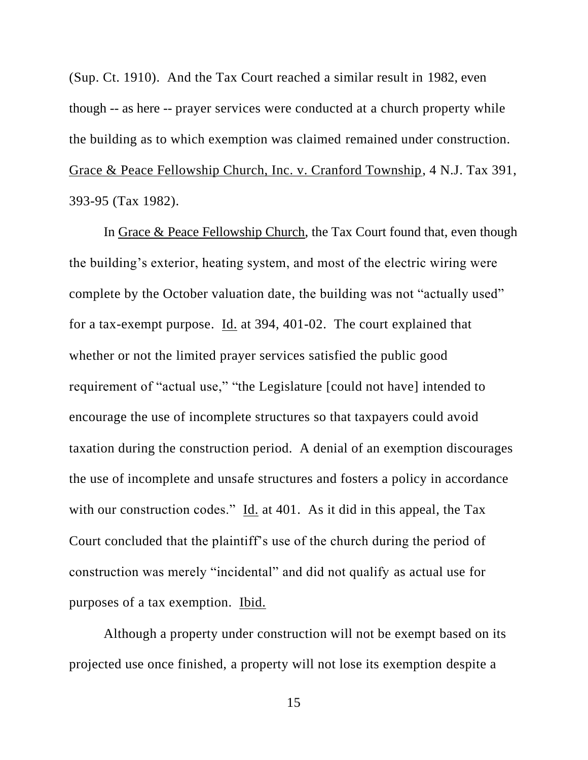(Sup. Ct. 1910). And the Tax Court reached a similar result in 1982, even though -- as here -- prayer services were conducted at a church property while the building as to which exemption was claimed remained under construction. Grace & Peace Fellowship Church, Inc. v. Cranford Township, 4 N.J. Tax 391, 393-95 (Tax 1982).

In Grace & Peace Fellowship Church, the Tax Court found that, even though the building's exterior, heating system, and most of the electric wiring were complete by the October valuation date, the building was not "actually used" for a tax-exempt purpose. Id. at 394, 401-02. The court explained that whether or not the limited prayer services satisfied the public good requirement of "actual use," "the Legislature [could not have] intended to encourage the use of incomplete structures so that taxpayers could avoid taxation during the construction period. A denial of an exemption discourages the use of incomplete and unsafe structures and fosters a policy in accordance with our construction codes." Id. at 401. As it did in this appeal, the Tax Court concluded that the plaintiff's use of the church during the period of construction was merely "incidental" and did not qualify as actual use for purposes of a tax exemption. Ibid.

Although a property under construction will not be exempt based on its projected use once finished, a property will not lose its exemption despite a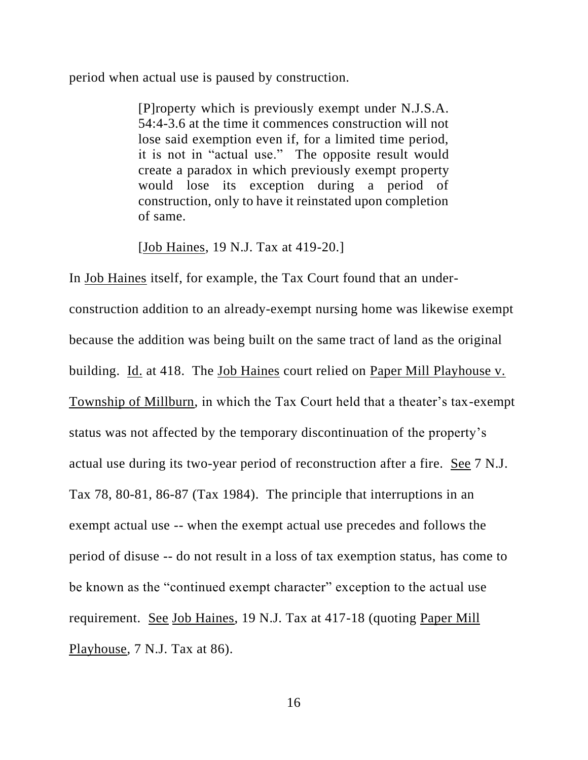period when actual use is paused by construction.

[P]roperty which is previously exempt under N.J.S.A. 54:4-3.6 at the time it commences construction will not lose said exemption even if, for a limited time period, it is not in "actual use." The opposite result would create a paradox in which previously exempt property would lose its exception during a period of construction, only to have it reinstated upon completion of same.

[Job Haines, 19 N.J. Tax at 419-20.]

In Job Haines itself, for example, the Tax Court found that an underconstruction addition to an already-exempt nursing home was likewise exempt because the addition was being built on the same tract of land as the original building. Id. at 418. The Job Haines court relied on Paper Mill Playhouse v. Township of Millburn, in which the Tax Court held that a theater's tax-exempt status was not affected by the temporary discontinuation of the property's actual use during its two-year period of reconstruction after a fire. See 7 N.J. Tax 78, 80-81, 86-87 (Tax 1984). The principle that interruptions in an exempt actual use -- when the exempt actual use precedes and follows the period of disuse -- do not result in a loss of tax exemption status, has come to be known as the "continued exempt character" exception to the actual use requirement. See Job Haines, 19 N.J. Tax at 417-18 (quoting Paper Mill Playhouse, 7 N.J. Tax at 86).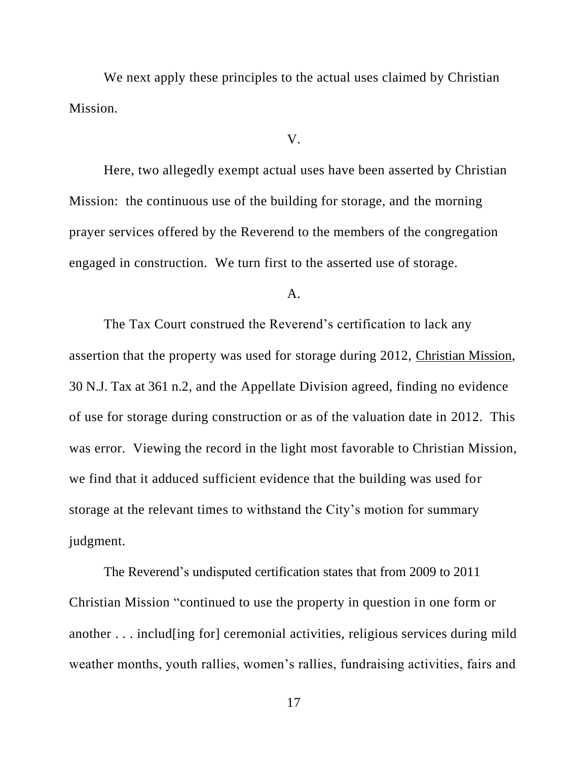We next apply these principles to the actual uses claimed by Christian Mission.

#### V.

Here, two allegedly exempt actual uses have been asserted by Christian Mission: the continuous use of the building for storage, and the morning prayer services offered by the Reverend to the members of the congregation engaged in construction. We turn first to the asserted use of storage.

A.

The Tax Court construed the Reverend's certification to lack any assertion that the property was used for storage during 2012, Christian Mission, 30 N.J. Tax at 361 n.2, and the Appellate Division agreed, finding no evidence of use for storage during construction or as of the valuation date in 2012. This was error. Viewing the record in the light most favorable to Christian Mission, we find that it adduced sufficient evidence that the building was used for storage at the relevant times to withstand the City's motion for summary judgment.

The Reverend's undisputed certification states that from 2009 to 2011 Christian Mission "continued to use the property in question in one form or another . . . includ[ing for] ceremonial activities, religious services during mild weather months, youth rallies, women's rallies, fundraising activities, fairs and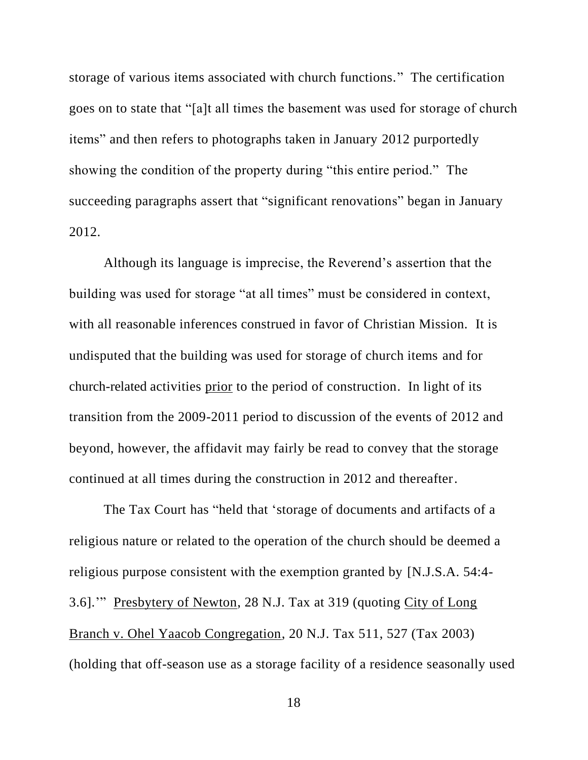storage of various items associated with church functions." The certification goes on to state that "[a]t all times the basement was used for storage of church items" and then refers to photographs taken in January 2012 purportedly showing the condition of the property during "this entire period." The succeeding paragraphs assert that "significant renovations" began in January 2012.

Although its language is imprecise, the Reverend's assertion that the building was used for storage "at all times" must be considered in context, with all reasonable inferences construed in favor of Christian Mission. It is undisputed that the building was used for storage of church items and for church-related activities prior to the period of construction. In light of its transition from the 2009-2011 period to discussion of the events of 2012 and beyond, however, the affidavit may fairly be read to convey that the storage continued at all times during the construction in 2012 and thereafter.

The Tax Court has "held that 'storage of documents and artifacts of a religious nature or related to the operation of the church should be deemed a religious purpose consistent with the exemption granted by [N.J.S.A. 54:4- 3.6].'" Presbytery of Newton, 28 N.J. Tax at 319 (quoting City of Long Branch v. Ohel Yaacob Congregation, 20 N.J. Tax 511, 527 (Tax 2003) (holding that off-season use as a storage facility of a residence seasonally used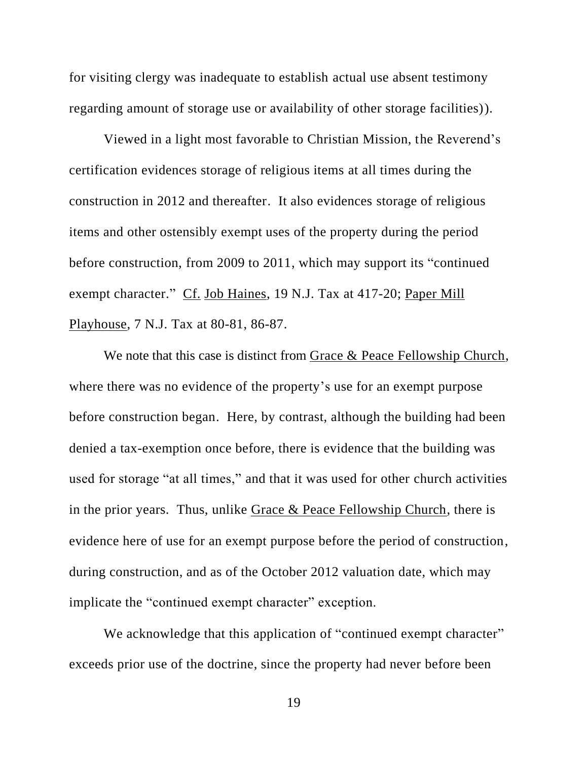for visiting clergy was inadequate to establish actual use absent testimony regarding amount of storage use or availability of other storage facilities)).

Viewed in a light most favorable to Christian Mission, the Reverend's certification evidences storage of religious items at all times during the construction in 2012 and thereafter. It also evidences storage of religious items and other ostensibly exempt uses of the property during the period before construction, from 2009 to 2011, which may support its "continued exempt character." Cf. Job Haines, 19 N.J. Tax at 417-20; Paper Mill Playhouse, 7 N.J. Tax at 80-81, 86-87.

We note that this case is distinct from Grace & Peace Fellowship Church, where there was no evidence of the property's use for an exempt purpose before construction began. Here, by contrast, although the building had been denied a tax-exemption once before, there is evidence that the building was used for storage "at all times," and that it was used for other church activities in the prior years. Thus, unlike Grace & Peace Fellowship Church, there is evidence here of use for an exempt purpose before the period of construction, during construction, and as of the October 2012 valuation date, which may implicate the "continued exempt character" exception.

We acknowledge that this application of "continued exempt character" exceeds prior use of the doctrine, since the property had never before been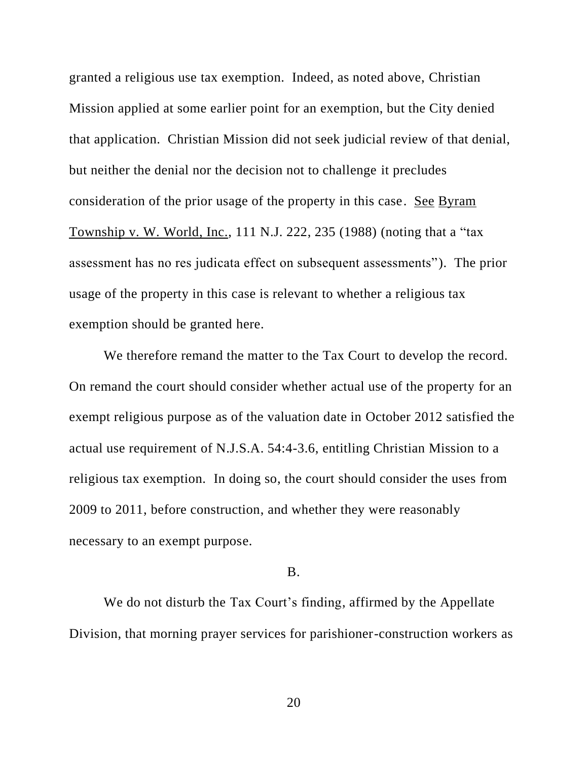granted a religious use tax exemption. Indeed, as noted above, Christian Mission applied at some earlier point for an exemption, but the City denied that application. Christian Mission did not seek judicial review of that denial, but neither the denial nor the decision not to challenge it precludes consideration of the prior usage of the property in this case. See Byram Township v. W. World, Inc., 111 N.J. 222, 235 (1988) (noting that a "tax assessment has no res judicata effect on subsequent assessments"). The prior usage of the property in this case is relevant to whether a religious tax exemption should be granted here.

We therefore remand the matter to the Tax Court to develop the record. On remand the court should consider whether actual use of the property for an exempt religious purpose as of the valuation date in October 2012 satisfied the actual use requirement of N.J.S.A. 54:4-3.6, entitling Christian Mission to a religious tax exemption. In doing so, the court should consider the uses from 2009 to 2011, before construction, and whether they were reasonably necessary to an exempt purpose.

## B.

We do not disturb the Tax Court's finding, affirmed by the Appellate Division, that morning prayer services for parishioner-construction workers as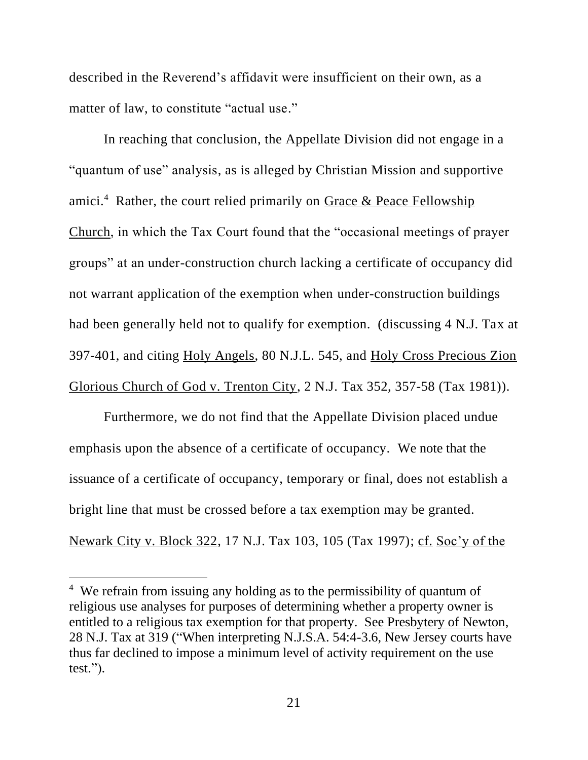described in the Reverend's affidavit were insufficient on their own, as a matter of law, to constitute "actual use."

In reaching that conclusion, the Appellate Division did not engage in a "quantum of use" analysis, as is alleged by Christian Mission and supportive amici.<sup>4</sup> Rather, the court relied primarily on  $G$ race  $\&$  Peace Fellowship Church, in which the Tax Court found that the "occasional meetings of prayer groups" at an under-construction church lacking a certificate of occupancy did not warrant application of the exemption when under-construction buildings had been generally held not to qualify for exemption. (discussing 4 N.J. Tax at 397-401, and citing Holy Angels, 80 N.J.L. 545, and Holy Cross Precious Zion Glorious Church of God v. Trenton City, 2 N.J. Tax 352, 357-58 (Tax 1981)).

Furthermore, we do not find that the Appellate Division placed undue emphasis upon the absence of a certificate of occupancy. We note that the issuance of a certificate of occupancy, temporary or final, does not establish a bright line that must be crossed before a tax exemption may be granted. Newark City v. Block 322, 17 N.J. Tax 103, 105 (Tax 1997); cf. Soc'y of the

<sup>&</sup>lt;sup>4</sup> We refrain from issuing any holding as to the permissibility of quantum of religious use analyses for purposes of determining whether a property owner is entitled to a religious tax exemption for that property. See Presbytery of Newton, 28 N.J. Tax at 319 ("When interpreting N.J.S.A. 54:4-3.6, New Jersey courts have thus far declined to impose a minimum level of activity requirement on the use test.").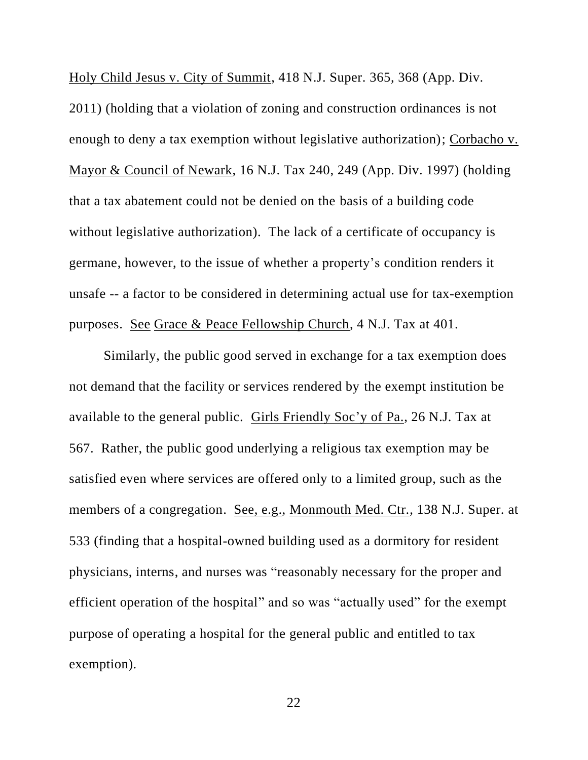Holy Child Jesus v. City of Summit, 418 N.J. Super. 365, 368 (App. Div. 2011) (holding that a violation of zoning and construction ordinances is not enough to deny a tax exemption without legislative authorization); Corbacho v. Mayor & Council of Newark, 16 N.J. Tax 240, 249 (App. Div. 1997) (holding that a tax abatement could not be denied on the basis of a building code without legislative authorization). The lack of a certificate of occupancy is germane, however, to the issue of whether a property's condition renders it unsafe -- a factor to be considered in determining actual use for tax-exemption purposes. See Grace & Peace Fellowship Church, 4 N.J. Tax at 401.

Similarly, the public good served in exchange for a tax exemption does not demand that the facility or services rendered by the exempt institution be available to the general public. Girls Friendly Soc'y of Pa., 26 N.J. Tax at 567. Rather, the public good underlying a religious tax exemption may be satisfied even where services are offered only to a limited group, such as the members of a congregation. See, e.g., Monmouth Med. Ctr., 138 N.J. Super. at 533 (finding that a hospital-owned building used as a dormitory for resident physicians, interns, and nurses was "reasonably necessary for the proper and efficient operation of the hospital" and so was "actually used" for the exempt purpose of operating a hospital for the general public and entitled to tax exemption).